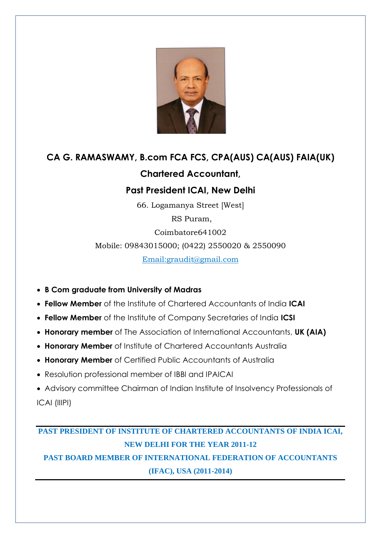

# **CA G. RAMASWAMY, B.com FCA FCS, CPA(AUS) CA(AUS) FAIA(UK) Chartered Accountant,**

### **Past President ICAI, New Delhi**

66. Logamanya Street [West]

RS Puram,

Coimbatore641002

Mobile: 09843015000; (0422) 2550020 & 2550090

Email:graudit@gmail.com

- **B Com graduate from University of Madras**
- **Fellow Member** of the Institute of Chartered Accountants of India **ICAI**
- **Fellow Member** of the Institute of Company Secretaries of India **ICSI**
- **Honorary member** of The Association of International Accountants, **UK (AIA)**
- **Honorary Member** of Institute of Chartered Accountants Australia
- **Honorary Member** of Certified Public Accountants of Australia
- Resolution professional member of IBBI and IPAICAI
- Advisory committee Chairman of Indian Institute of Insolvency Professionals of ICAI (IIIPI)

## **PAST PRESIDENT OF INSTITUTE OF CHARTERED ACCOUNTANTS OF INDIA ICAI, NEW DELHI FOR THE YEAR 2011-12**

## **PAST BOARD MEMBER OF INTERNATIONAL FEDERATION OF ACCOUNTANTS (IFAC), USA (2011-2014)**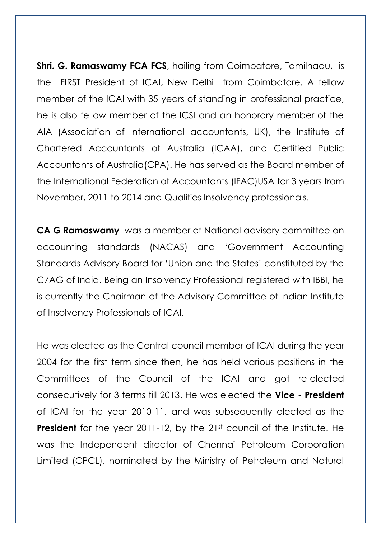**Shri. G. Ramaswamy FCA FCS**, hailing from Coimbatore, Tamilnadu, is the FIRST President of ICAI, New Delhi from Coimbatore. A fellow member of the ICAI with 35 years of standing in professional practice, he is also fellow member of the ICSI and an honorary member of the AIA (Association of International accountants, UK), the Institute of Chartered Accountants of Australia (ICAA), and Certified Public Accountants of Australia(CPA). He has served as the Board member of the International Federation of Accountants (IFAC)USA for 3 years from November, 2011 to 2014 and Qualifies Insolvency professionals.

**CA G Ramaswamy** was a member of National advisory committee on accounting standards (NACAS) and 'Government Accounting Standards Advisory Board for 'Union and the States' constituted by the C7AG of India. Being an Insolvency Professional registered with IBBI, he is currently the Chairman of the Advisory Committee of Indian Institute of Insolvency Professionals of ICAI.

He was elected as the Central council member of ICAI during the year 2004 for the first term since then, he has held various positions in the Committees of the Council of the ICAI and got re-elected consecutively for 3 terms till 2013. He was elected the **Vice - President** of ICAI for the year 2010-11, and was subsequently elected as the **President** for the year 2011-12, by the 21st council of the Institute. He was the Independent director of Chennai Petroleum Corporation Limited (CPCL), nominated by the Ministry of Petroleum and Natural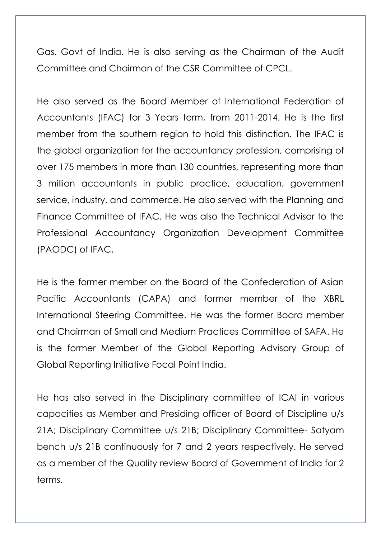Gas, Govt of India. He is also serving as the Chairman of the Audit Committee and Chairman of the CSR Committee of CPCL.

He also served as the Board Member of International Federation of Accountants (IFAC) for 3 Years term, from 2011-2014. He is the first member from the southern region to hold this distinction. The IFAC is the global organization for the accountancy profession, comprising of over 175 members in more than 130 countries, representing more than 3 million accountants in public practice, education, government service, industry, and commerce. He also served with the Planning and Finance Committee of IFAC. He was also the Technical Advisor to the Professional Accountancy Organization Development Committee (PAODC) of IFAC.

He is the former member on the Board of the Confederation of Asian Pacific Accountants (CAPA) and former member of the XBRL International Steering Committee. He was the former Board member and Chairman of Small and Medium Practices Committee of SAFA. He is the former Member of the Global Reporting Advisory Group of Global Reporting Initiative Focal Point India.

He has also served in the Disciplinary committee of ICAI in various capacities as Member and Presiding officer of Board of Discipline u/s 21A; Disciplinary Committee u/s 21B; Disciplinary Committee- Satyam bench u/s 21B continuously for 7 and 2 years respectively. He served as a member of the Quality review Board of Government of India for 2 terms.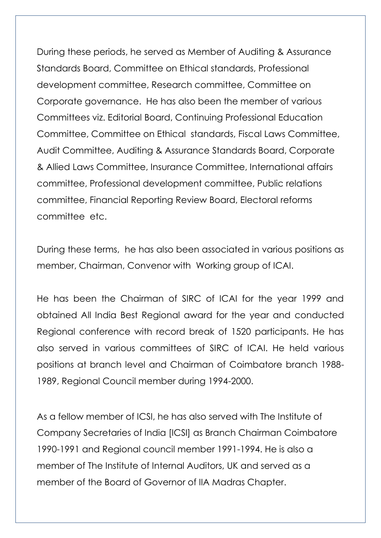During these periods, he served as Member of Auditing & Assurance Standards Board, Committee on Ethical standards, Professional development committee, Research committee, Committee on Corporate governance. He has also been the member of various Committees viz. Editorial Board, Continuing Professional Education Committee, Committee on Ethical standards, Fiscal Laws Committee, Audit Committee, Auditing & Assurance Standards Board, Corporate & Allied Laws Committee, Insurance Committee, International affairs committee, Professional development committee, Public relations committee, Financial Reporting Review Board, Electoral reforms committee etc.

During these terms, he has also been associated in various positions as member, Chairman, Convenor with Working group of ICAI.

He has been the Chairman of SIRC of ICAI for the year 1999 and obtained All India Best Regional award for the year and conducted Regional conference with record break of 1520 participants. He has also served in various committees of SIRC of ICAI. He held various positions at branch level and Chairman of Coimbatore branch 1988- 1989, Regional Council member during 1994-2000.

As a fellow member of ICSI, he has also served with The Institute of Company Secretaries of India [ICSI] as Branch Chairman Coimbatore 1990-1991 and Regional council member 1991-1994. He is also a member of The Institute of Internal Auditors, UK and served as a member of the Board of Governor of IIA Madras Chapter.